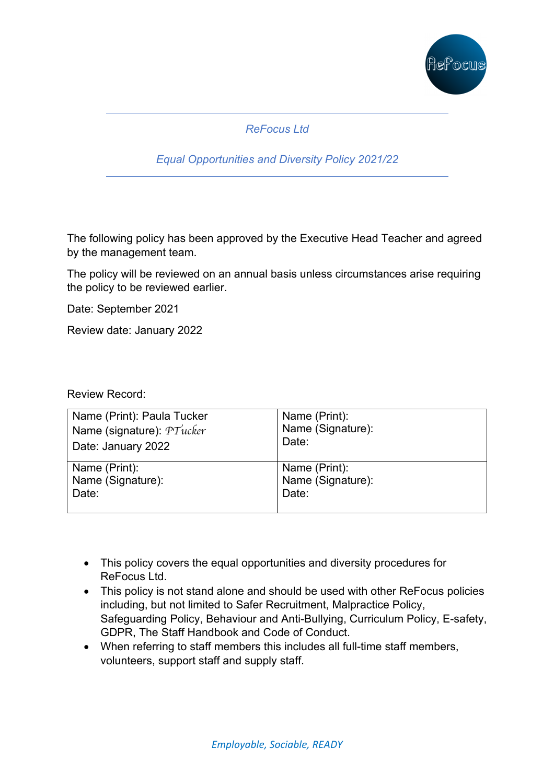

# *ReFocus Ltd*

### *Equal Opportunities and Diversity Policy 2021/22*

The following policy has been approved by the Executive Head Teacher and agreed by the management team.

The policy will be reviewed on an annual basis unless circumstances arise requiring the policy to be reviewed earlier.

Date: September 2021

Review date: January 2022

Review Record:

| Name (Print): Paula Tucker | Name (Print):     |
|----------------------------|-------------------|
| Name (signature): PTucker  | Name (Signature): |
| Date: January 2022         | Date:             |
| Name (Print):              | Name (Print):     |
| Name (Signature):          | Name (Signature): |
| Date:                      | Date:             |
|                            |                   |

- This policy covers the equal opportunities and diversity procedures for ReFocus Ltd.
- This policy is not stand alone and should be used with other ReFocus policies including, but not limited to Safer Recruitment, Malpractice Policy, Safeguarding Policy, Behaviour and Anti-Bullying, Curriculum Policy, E-safety, GDPR, The Staff Handbook and Code of Conduct.
- When referring to staff members this includes all full-time staff members, volunteers, support staff and supply staff.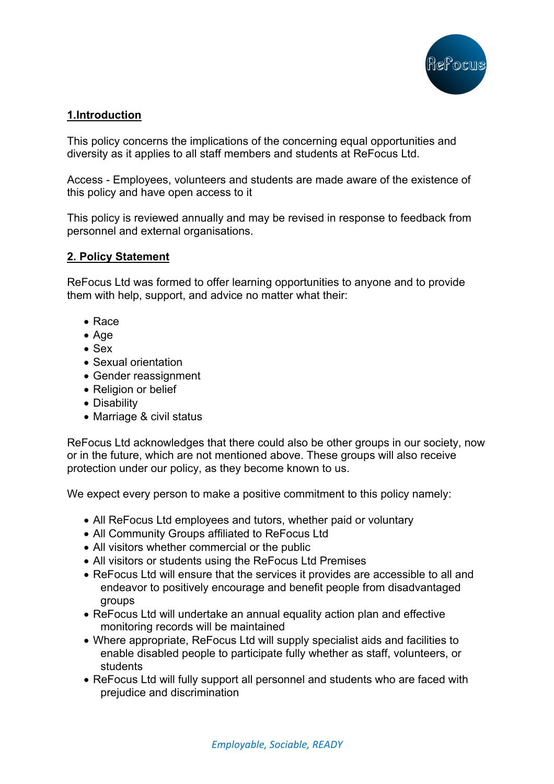

## **1.Introduction**

This policy concerns the implications of the concerning equal opportunities and diversity as it applies to all staff members and students at ReFocus Ltd.

Access - Employees, volunteers and students are made aware of the existence of this policy and have open access to it

This policy is reviewed annually and may be revised in response to feedback from personnel and external organisations.

### **2. Policy Statement**

ReFocus Ltd was formed to offer learning opportunities to anyone and to provide them with help, support, and advice no matter what their:

- Race
- Age
- Sex
- Sexual orientation
- Gender reassignment
- Religion or belief
- Disability
- Marriage & civil status

ReFocus Ltd acknowledges that there could also be other groups in our society, now or in the future, which are not mentioned above. These groups will also receive protection under our policy, as they become known to us.

We expect every person to make a positive commitment to this policy namely:

- All ReFocus Ltd employees and tutors, whether paid or voluntary
- All Community Groups affiliated to ReFocus Ltd
- All visitors whether commercial or the public
- All visitors or students using the ReFocus Ltd Premises
- ReFocus Ltd will ensure that the services it provides are accessible to all and endeavor to positively encourage and benefit people from disadvantaged groups
- ReFocus Ltd will undertake an annual equality action plan and effective monitoring records will be maintained
- Where appropriate, ReFocus Ltd will supply specialist aids and facilities to enable disabled people to participate fully whether as staff, volunteers, or students
- ReFocus Ltd will fully support all personnel and students who are faced with prejudice and discrimination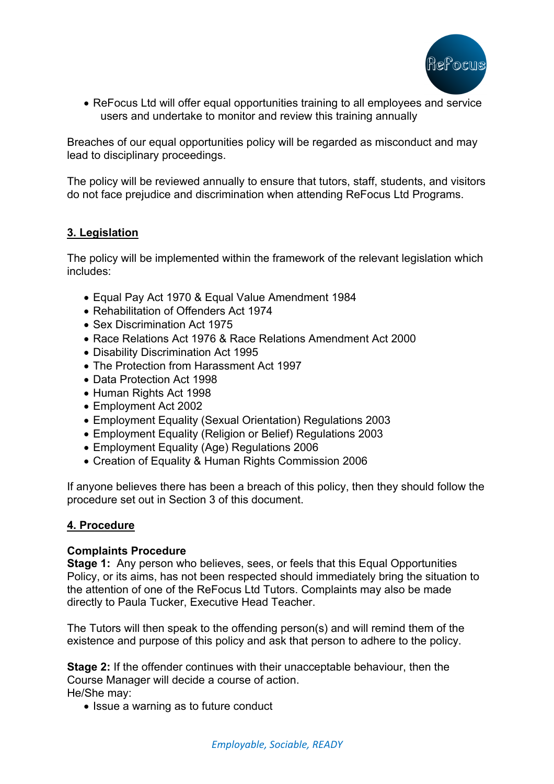

• ReFocus Ltd will offer equal opportunities training to all employees and service users and undertake to monitor and review this training annually

Breaches of our equal opportunities policy will be regarded as misconduct and may lead to disciplinary proceedings.

The policy will be reviewed annually to ensure that tutors, staff, students, and visitors do not face prejudice and discrimination when attending ReFocus Ltd Programs.

### **3. Legislation**

The policy will be implemented within the framework of the relevant legislation which includes:

- Equal Pay Act 1970 & Equal Value Amendment 1984
- Rehabilitation of Offenders Act 1974
- Sex Discrimination Act 1975
- Race Relations Act 1976 & Race Relations Amendment Act 2000
- Disability Discrimination Act 1995
- The Protection from Harassment Act 1997
- Data Protection Act 1998
- Human Rights Act 1998
- Employment Act 2002
- Employment Equality (Sexual Orientation) Regulations 2003
- Employment Equality (Religion or Belief) Regulations 2003
- Employment Equality (Age) Regulations 2006
- Creation of Equality & Human Rights Commission 2006

If anyone believes there has been a breach of this policy, then they should follow the procedure set out in Section 3 of this document.

### **4. Procedure**

### **Complaints Procedure**

**Stage 1:** Any person who believes, sees, or feels that this Equal Opportunities Policy, or its aims, has not been respected should immediately bring the situation to the attention of one of the ReFocus Ltd Tutors. Complaints may also be made directly to Paula Tucker, Executive Head Teacher.

The Tutors will then speak to the offending person(s) and will remind them of the existence and purpose of this policy and ask that person to adhere to the policy.

**Stage 2:** If the offender continues with their unacceptable behaviour, then the Course Manager will decide a course of action. He/She may:

• Issue a warning as to future conduct